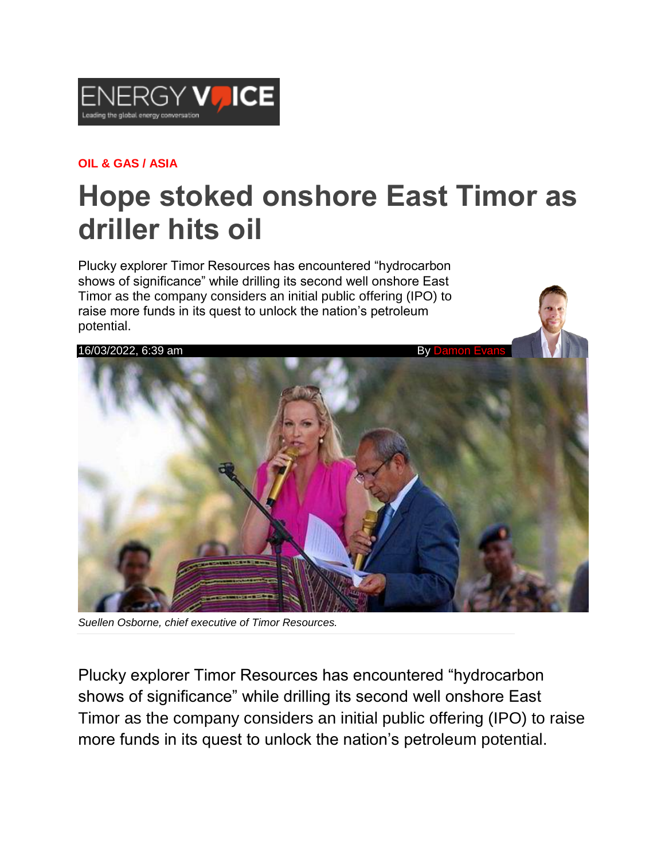

## **OIL & GAS / ASIA**

## **Hope stoked onshore East Timor as driller hits oil**

Plucky explorer Timor Resources has encountered "hydrocarbon shows of significance" while drilling its second well onshore East Timor as the company considers an initial public offering (IPO) to raise more funds in its quest to unlock the nation's petroleum potential.



*Suellen Osborne, chief executive of Timor Resources.*

Plucky explorer Timor Resources has encountered "hydrocarbon shows of significance" while drilling its second well onshore East Timor as the company considers an initial public offering (IPO) to raise more funds in its quest to unlock the nation's petroleum potential.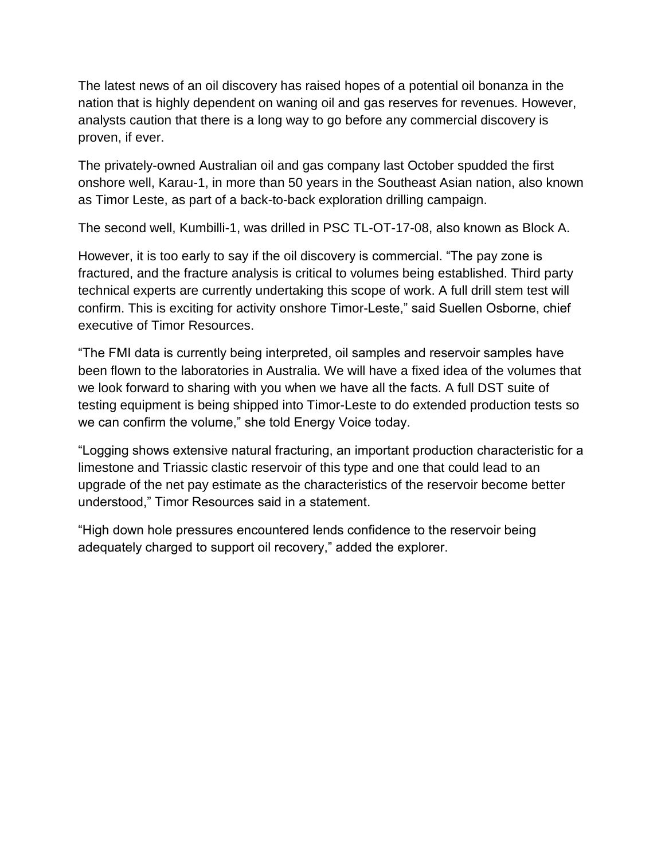The latest news of an oil discovery has raised hopes of a potential oil bonanza in the nation that is highly dependent on waning oil and gas reserves for revenues. However, analysts caution that there is a long way to go before any commercial discovery is proven, if ever.

The privately-owned Australian oil and gas company last October spudded the first onshore well, Karau-1, in more than 50 years in the Southeast Asian nation, also known as Timor Leste, as part of a back-to-back exploration drilling campaign.

The second well, Kumbilli-1, was drilled in PSC TL-OT-17-08, also known as Block A.

However, it is too early to say if the oil discovery is commercial. "The pay zone is fractured, and the fracture analysis is critical to volumes being established. Third party technical experts are currently undertaking this scope of work. A full drill stem test will confirm. This is exciting for activity onshore Timor-Leste," said Suellen Osborne, chief executive of Timor Resources.

"The FMI data is currently being interpreted, oil samples and reservoir samples have been flown to the laboratories in Australia. We will have a fixed idea of the volumes that we look forward to sharing with you when we have all the facts. A full DST suite of testing equipment is being shipped into Timor-Leste to do extended production tests so we can confirm the volume," she told Energy Voice today.

"Logging shows extensive natural fracturing, an important production characteristic for a limestone and Triassic clastic reservoir of this type and one that could lead to an upgrade of the net pay estimate as the characteristics of the reservoir become better understood," Timor Resources said in a statement.

"High down hole pressures encountered lends confidence to the reservoir being adequately charged to support oil recovery," added the explorer.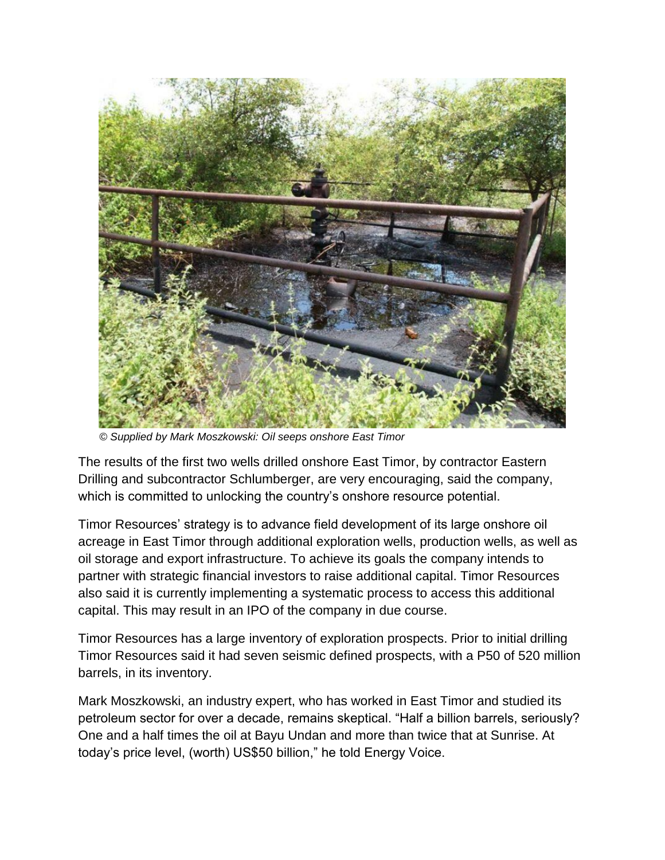

 *© Supplied by Mark Moszkowski: Oil seeps onshore East Timor*

The results of the first two wells drilled onshore East Timor, by contractor Eastern Drilling and subcontractor Schlumberger, are very encouraging, said the company, which is committed to unlocking the country's onshore resource potential.

Timor Resources' strategy is to advance field development of its large onshore oil acreage in East Timor through additional exploration wells, production wells, as well as oil storage and export infrastructure. To achieve its goals the company intends to partner with strategic financial investors to raise additional capital. Timor Resources also said it is currently implementing a systematic process to access this additional capital. This may result in an IPO of the company in due course.

Timor Resources has a large inventory of exploration prospects. Prior to initial drilling Timor Resources said it had seven seismic defined prospects, with a P50 of 520 million barrels, in its inventory.

Mark Moszkowski, an industry expert, who has worked in East Timor and studied its petroleum sector for over a decade, remains skeptical. "Half a billion barrels, seriously? One and a half times the oil at Bayu Undan and more than twice that at Sunrise. At today's price level, (worth) US\$50 billion," he told Energy Voice.